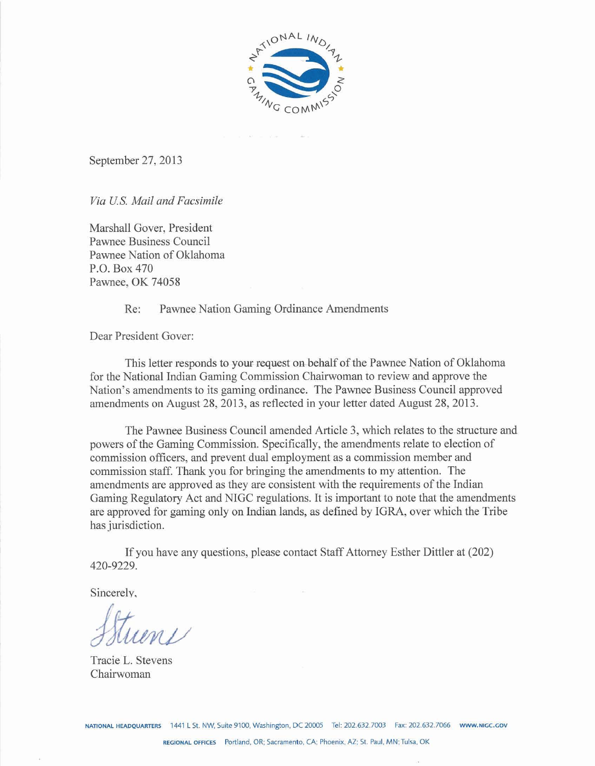

September 27,2013

*Via US. Mail and Facsimile* 

Marshall Gover, President Pawnee Business Council Pawnee Nation of Oklahoma P.O. Box 470 Pawnee, OK 74058

Re: Pawnee Nation Gaming Ordinance Amendments

Dear President Gover:

This letter responds to your request on behalf of the Pawnee Nation of Oklahoma for the National Indian Gaming Commission Chairwoman to review and approve the Nation's amendments to its gaming ordinance. The Pawnee Business Council approved amendments on August 28,2013, as reflected in your letter dated August 28,2013.

The Pawnee Business Council amended Article **3,** which relates **to** the structure and powers of the Gaming Commission. Specifically, the amendments relate to election of commission officers, and prevent dual employment as a commission member and commission staff. Thank you for bringing the amendments to my attention. The amendments are approved as they are consistent with the requirements of the Indian Gaming Regulatory Act and NIGC regulations. It is important to note that the amendments **are** approved for gaming only on Indian lands, as defined by IGRA, over which the Tribe has jurisdiction.

If you have any questions, please contact Staff Attorney Esther Dittler at (202) 420-9229.

Sincerely.

Tracie L. Stevens Chairwoman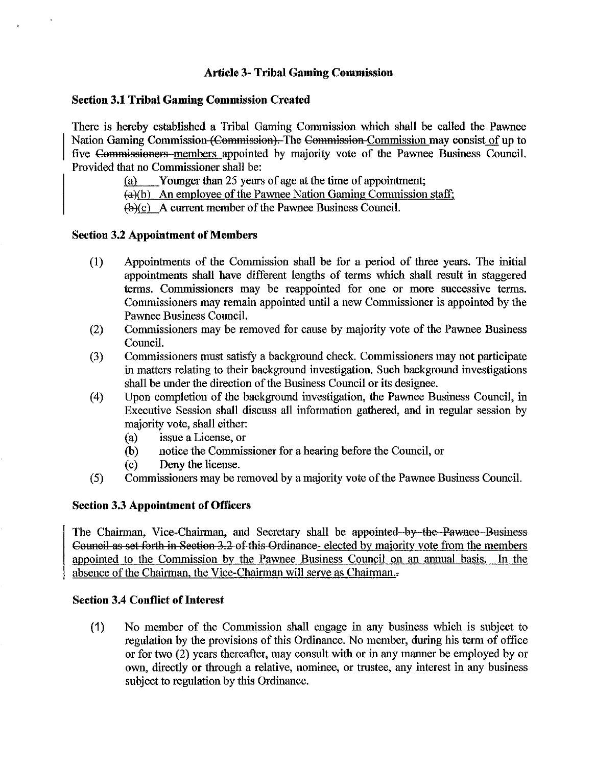## **Article 3- Tribal Gaming Commission**

### **Section 3.1 Tribal Gaming Commission Created**

There is hereby established a Tribal Gaming Commission which shall be called the Pawnee Nation Gaming Commission (Commission). The Commission Commission may consist of up to five Commissioners-members appointed by majority vote of the Pawnee Business Council. Provided that no Commissioner shall be:

I [a) Younger than 25 years of age at **the** time of appointment;

I fa)(b) **An** employee of the Pawnee Nation Gaming Commission staff:

 $(\phi)(c)$  A current member of the Pawnee Business Council.

### **Section 3.2 Appointment of Members**

- (1) Appointments of the Commission shall be for a period of three years. The initial appointments shall have different lengths of terms which shall result in staggered terms. Commissioners may be reappointed for one or more successive terms. Comnlissioners may remain appointed until a new Commissioner is appointed by the Pawnee Business Council.
- (2) Commissioners may be removed for cause by majority vote of the Pawnee Business Council.
- **(3)** Commissioners must satisfy a background check. Commissioners may not participate in matters relating to their background investigation. Such background investigations shall be under the direction of the Business Council or its designee.
- $(4)$  Upon completion of the background investigation, the Pawnee Business Council, in Executive Session shall discuss all information gathered, and in regular session by majority vote, shall either:
	- (a) issue a License, or
	- @) notice the Commissioner for a hearing before the Council, or
	- (c) Deny the license.
- *(5)* Commissioners may be removed by a majority vote of the Pawnee Business Council.

### **Section 3.3 Appointment of Officers**

The Chairman, Vice-Chairman, and Secretary shall be appointed by commissioners may be chapter that all new Commissioner is appointed by the<br>Commissioners may remain appointed until a new Commissioner is appointed by the<br>Pavnee Business Council.<br>
(3) Commissioners must satisfy a backgrou Council as set forth in Section 3.2 of this Ordinance - elected by majority vote from the members appointed to the Commission by the Pawnee Business Council on an annual basis. In the absence of the Chairman, the Vice-Chairman will serve as Chairman.

### **Section 3.4 Conflict of Interest**

(1) No member of the Commission shall engage in any business which is snbject to regulation by the provisions of this Ordinance. No member, during his term of office or for two (2) years thereafter, may consult with or in any inanner be employed by or own, directly or through a relative, nominee, or trustee, any interest in any business subject to regulation by this Ordinance.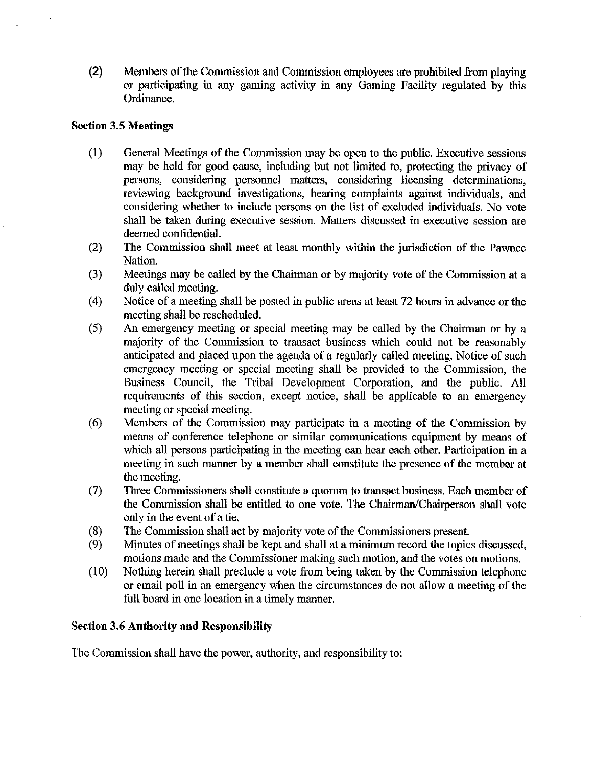**(2)** Members of the Commission and Commission employees are prohibited from playing or participating in any gaming activity in any Gaming Facility regulated by this Ordinance.

## **Section 3.5 Meetings**

- $(1)$ General Meetings of the Commission may be open to the public. Executive sessions may be held for good cause, including but not limited to, protecting the privacy of persons, considering personnel matters, considering licensing detenninations, reviewing background investigations, hearing complaints against individuals, and considering whether to include persons on the list of excluded individuals. No vote shall be taken during executive session. Matters discussed in executive session are deemed confidential.
- The Commission shall meet at least monthly within the jurisdiction of the Pawnee  $(2)$ Nation.
- Meetings may be called by the Chairman or by majority vote of the Commission at a  $(3)$ duly called meeting.
- $(4)$ Notice of a meeting shall be posted in public areas at least 72 hours in advance or the meeting shall be rescheduled.
- $(5)$ An emergency meeting or special meeting may be called by the Chairman or by a majorily of the Conmission to transact business which could not be reasonably anticipated and placed upon the agenda of a regularly called meeting. Notice of such emergency meeting or special meeting shall be provided to the Commission, the Business Council, the Tribal Development Corporation, and the public. All requirements of this section, except notice, shall be applicable to **an** emergency meeting or special meeting.
- $(6)$ Members of the Commission may participate in a meeting of the Commission by means of conference telephone or similar communications equipment by means of which all persons participating in the meeting can hear each other. Participation in a meeting in such manner by a member shall constitute the presence of the member at the meeting.
- $(7)$ Three Commissioners shall constitute a quorum to transact business. Each member of the Commission shall be entitled to one vote. The Chairman/Chairperson shall vote only in the event of a tie.
- The Commission shall act by majority vote of the Commissioners present.  $(8)$
- Minutes of meetings shall be kept and shall at a minimum record the topics discussed,  $(9)$ motions made and the Commissioner making such motion, and the votes on motions.
- Nothing herein shall preclude a vote from being takcn by the Commission telephone  $(10)$ or email poll in an emergency when the circumstances do not allow a meeting of the full board in one location in a timely manner.

# **Section 3.6 Authority and Responsibility**

The Commission shall have the power, authority, and responsibility to: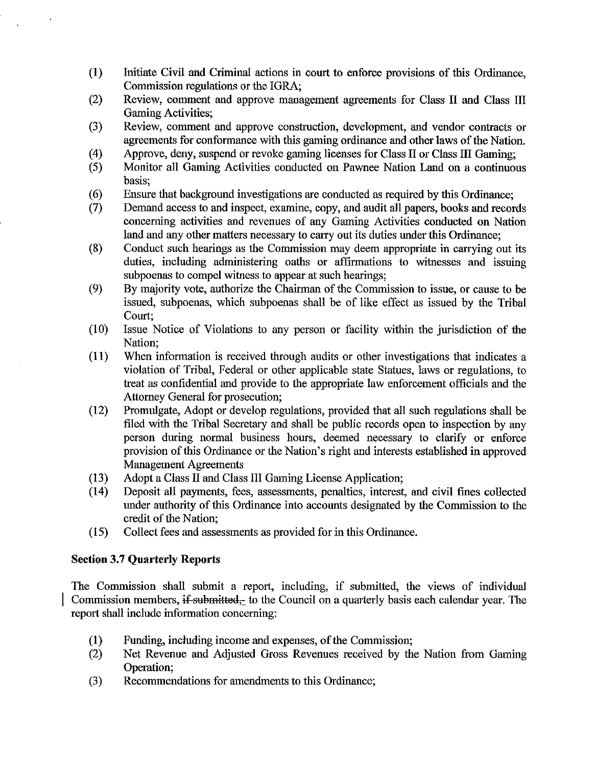- **(1)** Initiate Civil and Criminal actions in court to enforce provisions of this Ordimance, Commission regulations or the IGRA,
- (2) Review, comment and approve management agreements for Class I1 and Class 111 Gaming Activities:
- (3) Review, comment and approve construction, development, and vendor contracts or agreements for conformance with this gaming ordinance and other laws of the Nation.
- $(4)$ Approve, deny, suspend or revoke gaming licenses for Class **II** or Class **III** Gaming;
- $(5)$ Monitor all Gaming Activities conducted on Pawnee Nation Land on a continuous basis;
- $(6)$ Ensure that background investigations are conducted as required by this Ordinance;
- $(7)$ Demand access to and inspect, examine, copy, and audit all papers, books and records concerning activities and revenues of any Gaming Activities conducted on Nation land and any other matters necessary to carry out its duties under this Ordinance;
- $(8)$ Conduct such hearings as the Commission may deem appropriate in carrying out its duties, including administering oaths or affirmations to witnesses and issuing subpoenas to compel witness to appear at such hearings;
- $(9)$ By majority vote, authorize the Chairman of the Commission to issue, or cause to be issued, subpoenas, which subpoenas shall be of like effect as issued by the Tribal Court;
- $(10)$ Issue Notice of Violations to any person or facility within the jurisdiction of the Nation;
- $(11)$ When information is received through audits or other investigations that indicates a violation of Tribal, Federal or other applicable state Statues, laws or regulations, to treat as confidential and provide to the appropriate law enforcement officials and the Attorney General for prosecution;
- $(12)$ Promulgate, Adopt or develop regulations, provided that all such regulations shall be filed with the Tribal Secretary and shall be public records open to inspection by any person during normal business hours, deemed necessary to clarify or enforce provision of this Ordinance or the Nation's right and interests established in approved Management Agreements
- $(13)$ Adopt a Class II and Class III Gaming License Application;
- $(14)$ Deposit all payments, fees, assessments, penalties, interest, and civil fines collected under authority of this Ordinance into accounts designated by the Commission to the credit of the Nation;
- $(15)$ Collect fees and assessments as provided for in this Ordinance.

# **Section 3.7 Quarterly Reports**

The Commission shall submit a report, including, if submitted, the views of individual Commission members, if submitted, to the Council on a quarterly basis each calendar year. The report shall include information concerning:

- (1) Funding, including income and expenses, of the Commission;<br>(2) Net Revenue and Adjusted Gross Revenues received by the
- Net Revenue and Adjusted Gross Revenues received by the Nation from Gaming Operation;
- (3) Recommendations for amendments to this Ordinance;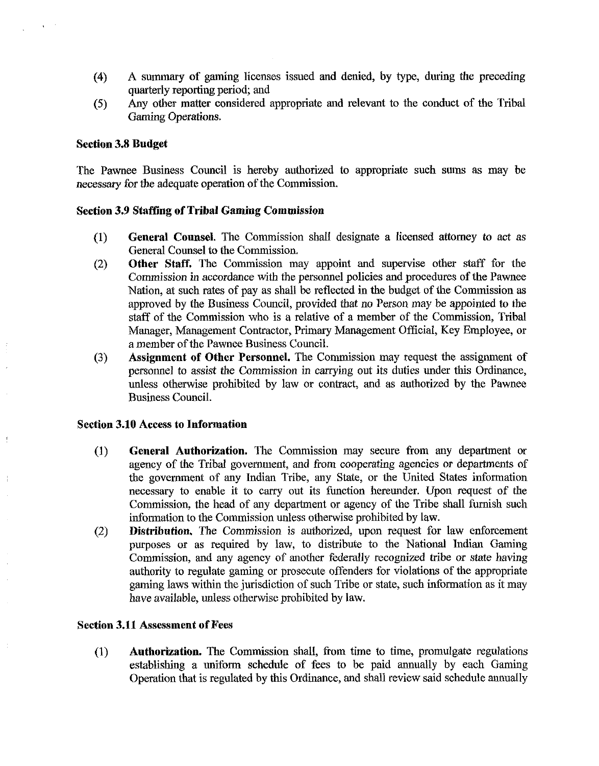- (4) A summary of gaming licenses issued and denied, by type, during **die** preceding quarterly reporting period; and
- (5) Any other matter considered appropriate and ielevant to the conduct of the Tribal Ganing Operations.

### **Section 3.8 Budget**

The Pawnee Business Council is hereby authorized to appropriate such sums as may be necessary for the adequate operation of the Commission.

### **Section 3.9 Staffing of Tribal Gaming Commission**

- **(1) General Counsel.** The Commission shall designate a licensed attorney to act as General Counsel to the Commission.
- (2) **Other Staff,** lie Commission may appoint and supervise other staff for the Commission in accordance with the personnel policies and procedures of the Pawnee Nation, at such rates of pay as shall be reflected in the budget of the Commission **as**  approved by the Business Council, provided that no Person may be appointed to the staff of the Commission who is a relative of a member of the Commission, Tribal Manager, Management Contractor, Primary Management Official, Key Employee, or a member of the Pawnee Business Council.
- **(3) Assignment of Other Personnel.** The Commission may request the assignment of personnel to assist the Commission in carrying out its duties under this Ordinance, unless otherwise prohibited by law or contract, and as authorized by the Pawnee Business Council.

### **Section 3.10 Access to Information**

- (1) **General Authorization.** The Commission may secure from any department or agency of the Tribal government, and from cooperating agencies or departments of the government of any Indian Tribe, any State, or the Ilnited States information necessary to enable it to carry out its function hereunder. Upon request of the Commission, the head of any department or agency of the Tribe shall furnish such information to the Commission unless otherwise prohibited by law.
- (2) **Distribution.** The Commission is authorized, upon request For law enforcement purposes or as required by law, to distribute to the National Indian Gaming Commission, and any agency of another federally recognized tribe or state having authority to regulate gaming or prosecute offenders for violations of the appropriate gaming laws within the jurisdiction of such Tribe or state, such information as it may have available, unless otherwise prohibited by law.

## **Section 3.11 Assessment of Fees**

(1) **Authorization.** The Commission shall, from time to time, promulgate regulations establishing a uniform schedule of fees to be paid annually by each Gaming Operation that is regulated by this Ordinance, and shall review said schedule annually